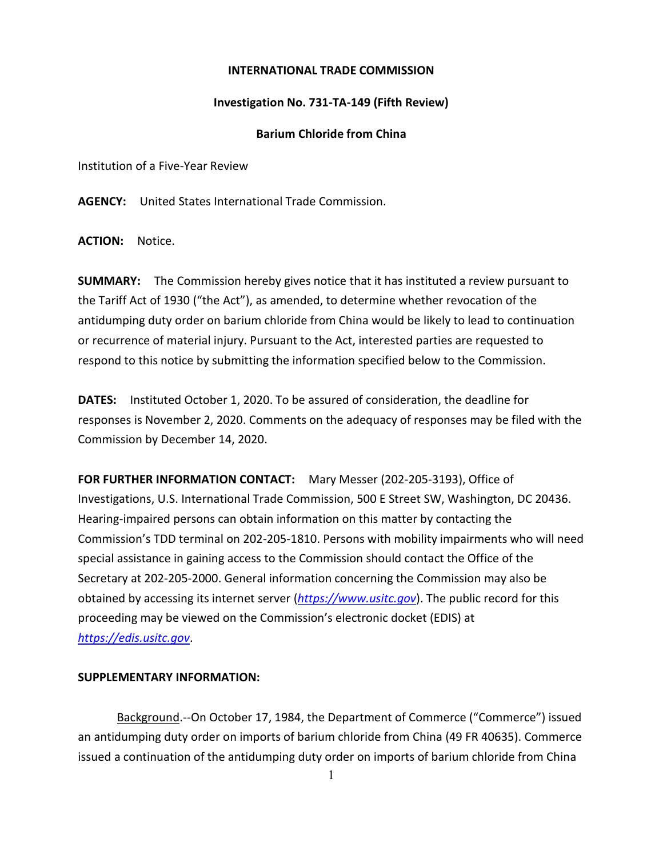## **INTERNATIONAL TRADE COMMISSION**

## **Investigation No. 731-TA-149 (Fifth Review)**

## **Barium Chloride from China**

Institution of a Five-Year Review

**AGENCY:** United States International Trade Commission.

**ACTION:** Notice.

**SUMMARY:** The Commission hereby gives notice that it has instituted a review pursuant to the Tariff Act of 1930 ("the Act"), as amended, to determine whether revocation of the antidumping duty order on barium chloride from China would be likely to lead to continuation or recurrence of material injury. Pursuant to the Act, interested parties are requested to respond to this notice by submitting the information specified below to the Commission.

**DATES:** Instituted October 1, 2020. To be assured of consideration, the deadline for responses is November 2, 2020. Comments on the adequacy of responses may be filed with the Commission by December 14, 2020.

**FOR FURTHER INFORMATION CONTACT:** Mary Messer (202-205-3193), Office of Investigations, U.S. International Trade Commission, 500 E Street SW, Washington, DC 20436. Hearing-impaired persons can obtain information on this matter by contacting the Commission's TDD terminal on 202-205-1810. Persons with mobility impairments who will need special assistance in gaining access to the Commission should contact the Office of the Secretary at 202-205-2000. General information concerning the Commission may also be obtained by accessing its internet server (*[https://www.usitc.gov](https://www.usitc.gov/)*). The public record for this proceeding may be viewed on the Commission's electronic docket (EDIS) at *[https://edis.usitc.gov](https://edis.usitc.gov/)*.

## **SUPPLEMENTARY INFORMATION:**

Background.--On October 17, 1984, the Department of Commerce ("Commerce") issued an antidumping duty order on imports of barium chloride from China (49 FR 40635). Commerce issued a continuation of the antidumping duty order on imports of barium chloride from China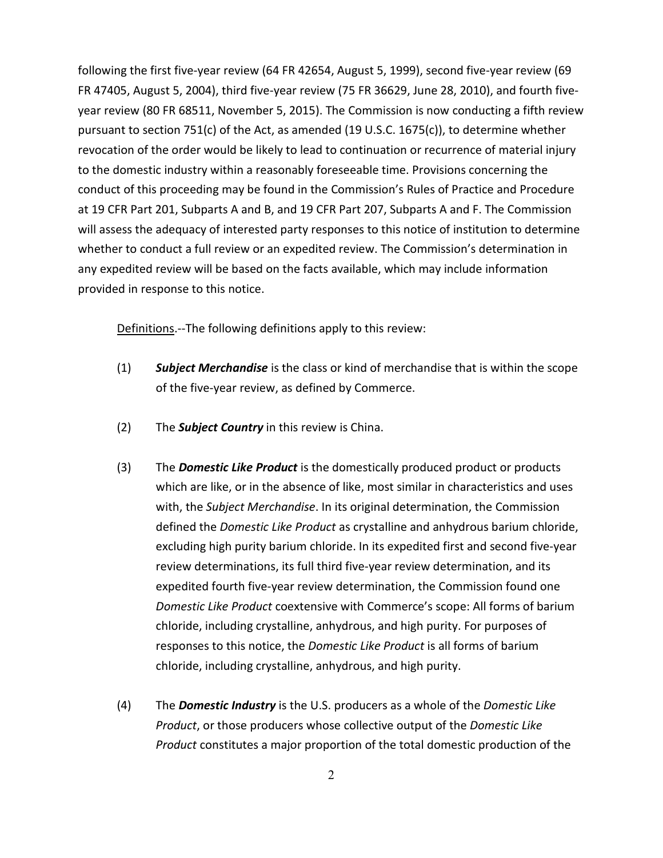following the first five-year review (64 FR 42654, August 5, 1999), second five-year review (69 FR 47405, August 5, 2004), third five-year review (75 FR 36629, June 28, 2010), and fourth fiveyear review (80 FR 68511, November 5, 2015). The Commission is now conducting a fifth review pursuant to section 751(c) of the Act, as amended (19 U.S.C. 1675(c)), to determine whether revocation of the order would be likely to lead to continuation or recurrence of material injury to the domestic industry within a reasonably foreseeable time. Provisions concerning the conduct of this proceeding may be found in the Commission's Rules of Practice and Procedure at 19 CFR Part 201, Subparts A and B, and 19 CFR Part 207, Subparts A and F. The Commission will assess the adequacy of interested party responses to this notice of institution to determine whether to conduct a full review or an expedited review. The Commission's determination in any expedited review will be based on the facts available, which may include information provided in response to this notice.

Definitions.--The following definitions apply to this review:

- (1) *Subject Merchandise* is the class or kind of merchandise that is within the scope of the five-year review, as defined by Commerce.
- (2) The *Subject Country* in this review is China.
- (3) The *Domestic Like Product* is the domestically produced product or products which are like, or in the absence of like, most similar in characteristics and uses with, the *Subject Merchandise*. In its original determination, the Commission defined the *Domestic Like Product* as crystalline and anhydrous barium chloride, excluding high purity barium chloride. In its expedited first and second five-year review determinations, its full third five-year review determination, and its expedited fourth five-year review determination, the Commission found one *Domestic Like Product* coextensive with Commerce's scope: All forms of barium chloride, including crystalline, anhydrous, and high purity. For purposes of responses to this notice, the *Domestic Like Product* is all forms of barium chloride, including crystalline, anhydrous, and high purity.
- (4) The *Domestic Industry* is the U.S. producers as a whole of the *Domestic Like Product*, or those producers whose collective output of the *Domestic Like Product* constitutes a major proportion of the total domestic production of the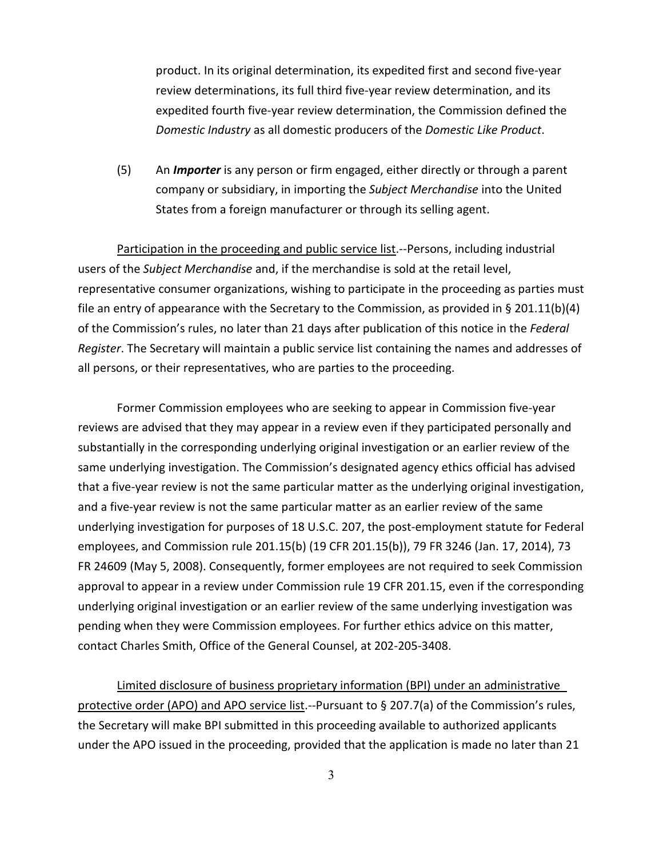product. In its original determination, its expedited first and second five-year review determinations, its full third five-year review determination, and its expedited fourth five-year review determination, the Commission defined the *Domestic Industry* as all domestic producers of the *Domestic Like Product*.

(5) An *Importer* is any person or firm engaged, either directly or through a parent company or subsidiary, in importing the *Subject Merchandise* into the United States from a foreign manufacturer or through its selling agent.

Participation in the proceeding and public service list.--Persons, including industrial users of the *Subject Merchandise* and, if the merchandise is sold at the retail level, representative consumer organizations, wishing to participate in the proceeding as parties must file an entry of appearance with the Secretary to the Commission, as provided in § 201.11(b)(4) of the Commission's rules, no later than 21 days after publication of this notice in the *Federal Register*. The Secretary will maintain a public service list containing the names and addresses of all persons, or their representatives, who are parties to the proceeding.

Former Commission employees who are seeking to appear in Commission five-year reviews are advised that they may appear in a review even if they participated personally and substantially in the corresponding underlying original investigation or an earlier review of the same underlying investigation. The Commission's designated agency ethics official has advised that a five-year review is not the same particular matter as the underlying original investigation, and a five-year review is not the same particular matter as an earlier review of the same underlying investigation for purposes of 18 U.S.C. 207, the post-employment statute for Federal employees, and Commission rule 201.15(b) (19 CFR 201.15(b)), 79 FR 3246 (Jan. 17, 2014), 73 FR 24609 (May 5, 2008). Consequently, former employees are not required to seek Commission approval to appear in a review under Commission rule 19 CFR 201.15, even if the corresponding underlying original investigation or an earlier review of the same underlying investigation was pending when they were Commission employees. For further ethics advice on this matter, contact Charles Smith, Office of the General Counsel, at 202-205-3408.

Limited disclosure of business proprietary information (BPI) under an administrative protective order (APO) and APO service list.--Pursuant to § 207.7(a) of the Commission's rules, the Secretary will make BPI submitted in this proceeding available to authorized applicants under the APO issued in the proceeding, provided that the application is made no later than 21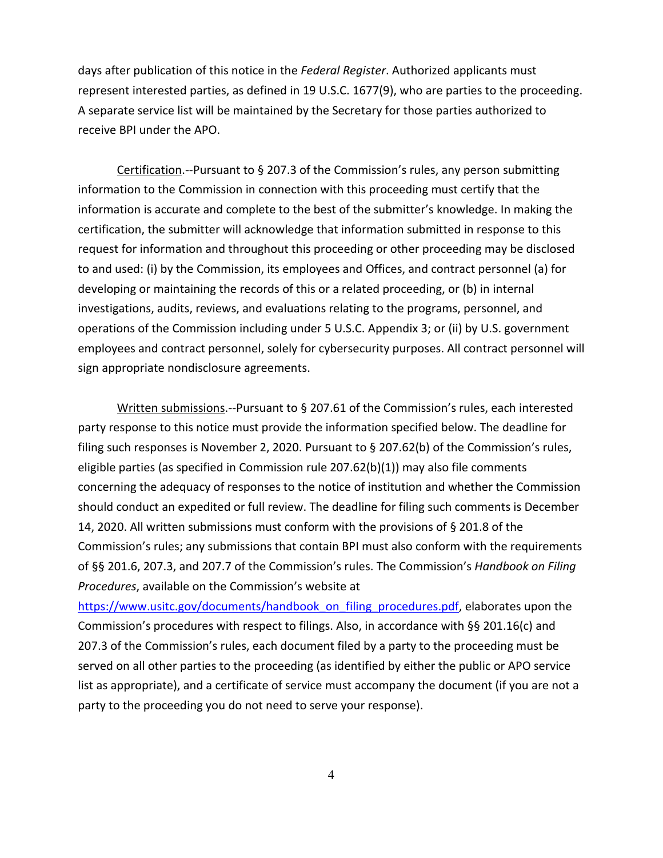days after publication of this notice in the *Federal Register*. Authorized applicants must represent interested parties, as defined in 19 U.S.C. 1677(9), who are parties to the proceeding. A separate service list will be maintained by the Secretary for those parties authorized to receive BPI under the APO.

Certification.--Pursuant to § 207.3 of the Commission's rules, any person submitting information to the Commission in connection with this proceeding must certify that the information is accurate and complete to the best of the submitter's knowledge. In making the certification, the submitter will acknowledge that information submitted in response to this request for information and throughout this proceeding or other proceeding may be disclosed to and used: (i) by the Commission, its employees and Offices, and contract personnel (a) for developing or maintaining the records of this or a related proceeding, or (b) in internal investigations, audits, reviews, and evaluations relating to the programs, personnel, and operations of the Commission including under 5 U.S.C. Appendix 3; or (ii) by U.S. government employees and contract personnel, solely for cybersecurity purposes. All contract personnel will sign appropriate nondisclosure agreements.

Written submissions.--Pursuant to § 207.61 of the Commission's rules, each interested party response to this notice must provide the information specified below. The deadline for filing such responses is November 2, 2020. Pursuant to § 207.62(b) of the Commission's rules, eligible parties (as specified in Commission rule 207.62(b)(1)) may also file comments concerning the adequacy of responses to the notice of institution and whether the Commission should conduct an expedited or full review. The deadline for filing such comments is December 14, 2020. All written submissions must conform with the provisions of § 201.8 of the Commission's rules; any submissions that contain BPI must also conform with the requirements of §§ 201.6, 207.3, and 207.7 of the Commission's rules. The Commission's *Handbook on Filing Procedures*, available on the Commission's website at

[https://www.usitc.gov/documents/handbook\\_on\\_filing\\_procedures.pdf,](https://www.usitc.gov/documents/handbook_on_filing_procedures.pdf) elaborates upon the Commission's procedures with respect to filings. Also, in accordance with §§ 201.16(c) and 207.3 of the Commission's rules, each document filed by a party to the proceeding must be served on all other parties to the proceeding (as identified by either the public or APO service list as appropriate), and a certificate of service must accompany the document (if you are not a party to the proceeding you do not need to serve your response).

4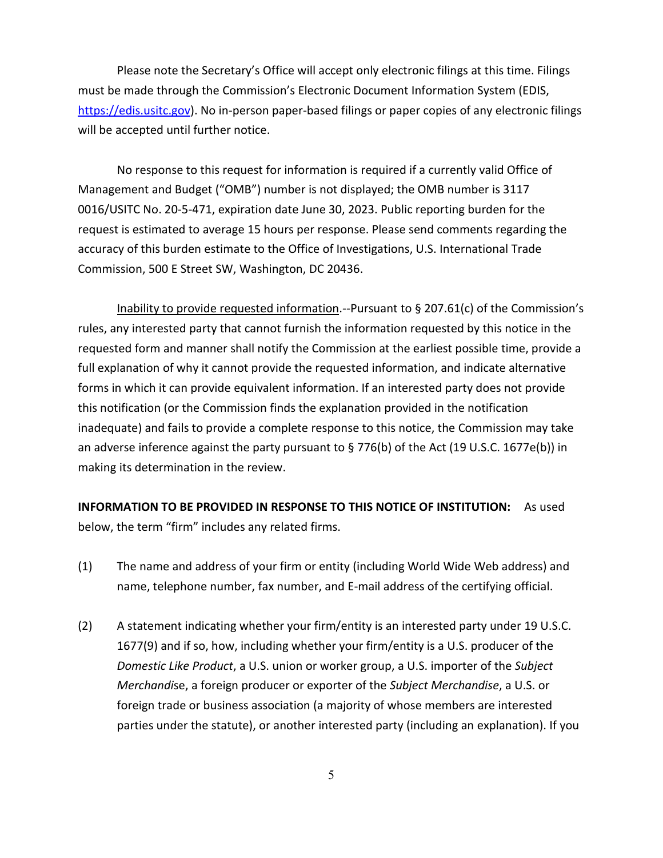Please note the Secretary's Office will accept only electronic filings at this time. Filings must be made through the Commission's Electronic Document Information System (EDIS, [https://edis.usitc.gov\)](https://edis.usitc.gov/). No in-person paper-based filings or paper copies of any electronic filings will be accepted until further notice.

No response to this request for information is required if a currently valid Office of Management and Budget ("OMB") number is not displayed; the OMB number is 3117 0016/USITC No. 20-5-471, expiration date June 30, 2023. Public reporting burden for the request is estimated to average 15 hours per response. Please send comments regarding the accuracy of this burden estimate to the Office of Investigations, U.S. International Trade Commission, 500 E Street SW, Washington, DC 20436.

Inability to provide requested information.--Pursuant to § 207.61(c) of the Commission's rules, any interested party that cannot furnish the information requested by this notice in the requested form and manner shall notify the Commission at the earliest possible time, provide a full explanation of why it cannot provide the requested information, and indicate alternative forms in which it can provide equivalent information. If an interested party does not provide this notification (or the Commission finds the explanation provided in the notification inadequate) and fails to provide a complete response to this notice, the Commission may take an adverse inference against the party pursuant to § 776(b) of the Act (19 U.S.C. 1677e(b)) in making its determination in the review.

**INFORMATION TO BE PROVIDED IN RESPONSE TO THIS NOTICE OF INSTITUTION:** As used below, the term "firm" includes any related firms.

- (1) The name and address of your firm or entity (including World Wide Web address) and name, telephone number, fax number, and E-mail address of the certifying official.
- (2) A statement indicating whether your firm/entity is an interested party under 19 U.S.C. 1677(9) and if so, how, including whether your firm/entity is a U.S. producer of the *Domestic Like Product*, a U.S. union or worker group, a U.S. importer of the *Subject Merchandi*se, a foreign producer or exporter of the *Subject Merchandise*, a U.S. or foreign trade or business association (a majority of whose members are interested parties under the statute), or another interested party (including an explanation). If you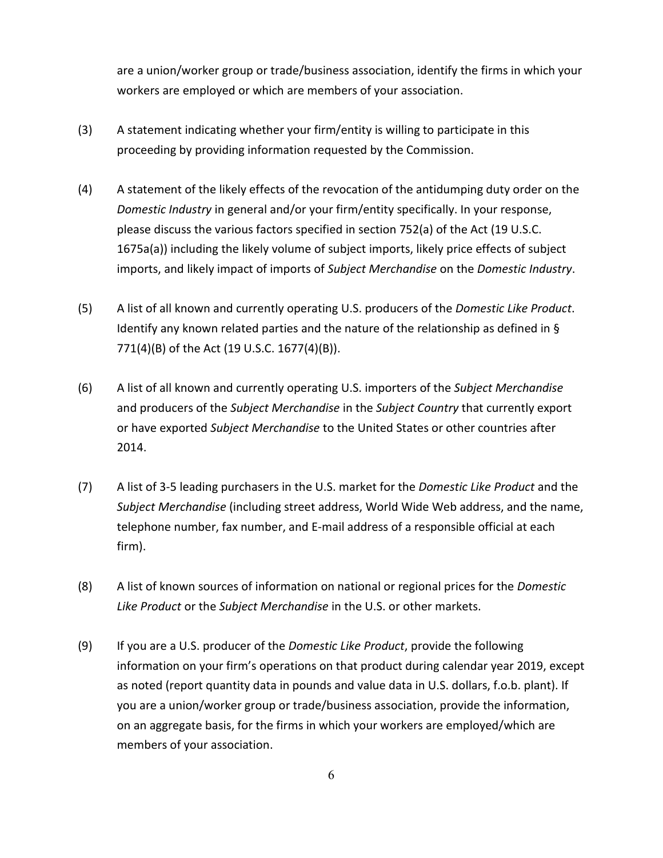are a union/worker group or trade/business association, identify the firms in which your workers are employed or which are members of your association.

- (3) A statement indicating whether your firm/entity is willing to participate in this proceeding by providing information requested by the Commission.
- (4) A statement of the likely effects of the revocation of the antidumping duty order on the *Domestic Industry* in general and/or your firm/entity specifically. In your response, please discuss the various factors specified in section 752(a) of the Act (19 U.S.C. 1675a(a)) including the likely volume of subject imports, likely price effects of subject imports, and likely impact of imports of *Subject Merchandise* on the *Domestic Industry*.
- (5) A list of all known and currently operating U.S. producers of the *Domestic Like Product*. Identify any known related parties and the nature of the relationship as defined in § 771(4)(B) of the Act (19 U.S.C. 1677(4)(B)).
- (6) A list of all known and currently operating U.S. importers of the *Subject Merchandise* and producers of the *Subject Merchandise* in the *Subject Country* that currently export or have exported *Subject Merchandise* to the United States or other countries after 2014.
- (7) A list of 3-5 leading purchasers in the U.S. market for the *Domestic Like Product* and the *Subject Merchandise* (including street address, World Wide Web address, and the name, telephone number, fax number, and E-mail address of a responsible official at each firm).
- (8) A list of known sources of information on national or regional prices for the *Domestic Like Product* or the *Subject Merchandise* in the U.S. or other markets.
- (9) If you are a U.S. producer of the *Domestic Like Product*, provide the following information on your firm's operations on that product during calendar year 2019, except as noted (report quantity data in pounds and value data in U.S. dollars, f.o.b. plant). If you are a union/worker group or trade/business association, provide the information, on an aggregate basis, for the firms in which your workers are employed/which are members of your association.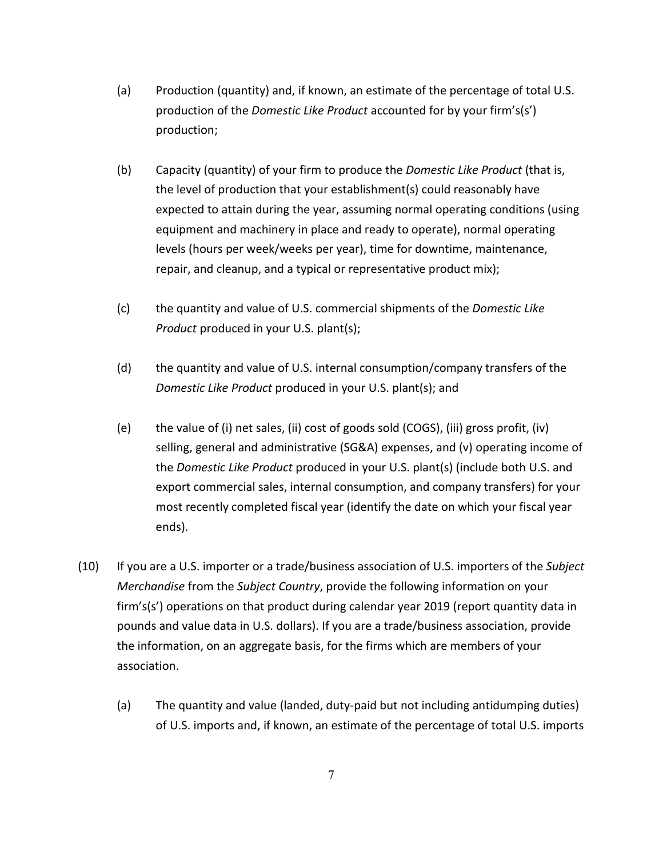- (a) Production (quantity) and, if known, an estimate of the percentage of total U.S. production of the *Domestic Like Product* accounted for by your firm's(s') production;
- (b) Capacity (quantity) of your firm to produce the *Domestic Like Product* (that is, the level of production that your establishment(s) could reasonably have expected to attain during the year, assuming normal operating conditions (using equipment and machinery in place and ready to operate), normal operating levels (hours per week/weeks per year), time for downtime, maintenance, repair, and cleanup, and a typical or representative product mix);
- (c) the quantity and value of U.S. commercial shipments of the *Domestic Like Product* produced in your U.S. plant(s);
- (d) the quantity and value of U.S. internal consumption/company transfers of the *Domestic Like Product* produced in your U.S. plant(s); and
- (e) the value of (i) net sales, (ii) cost of goods sold (COGS), (iii) gross profit, (iv) selling, general and administrative (SG&A) expenses, and (v) operating income of the *Domestic Like Product* produced in your U.S. plant(s) (include both U.S. and export commercial sales, internal consumption, and company transfers) for your most recently completed fiscal year (identify the date on which your fiscal year ends).
- (10) If you are a U.S. importer or a trade/business association of U.S. importers of the *Subject Merchandise* from the *Subject Country*, provide the following information on your firm's(s') operations on that product during calendar year 2019 (report quantity data in pounds and value data in U.S. dollars). If you are a trade/business association, provide the information, on an aggregate basis, for the firms which are members of your association.
	- (a) The quantity and value (landed, duty-paid but not including antidumping duties) of U.S. imports and, if known, an estimate of the percentage of total U.S. imports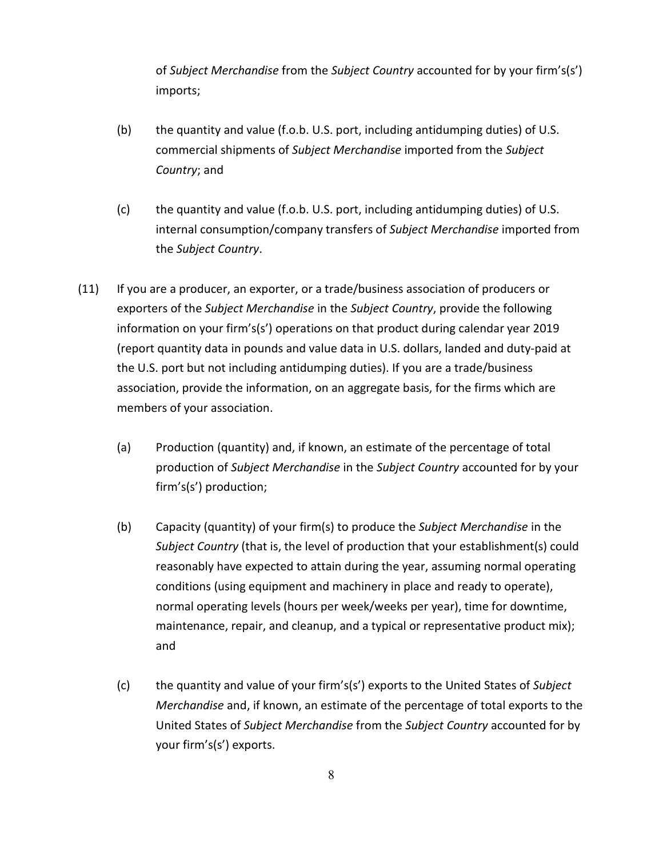of *Subject Merchandise* from the *Subject Country* accounted for by your firm's(s') imports;

- (b) the quantity and value (f.o.b. U.S. port, including antidumping duties) of U.S. commercial shipments of *Subject Merchandise* imported from the *Subject Country*; and
- (c) the quantity and value (f.o.b. U.S. port, including antidumping duties) of U.S. internal consumption/company transfers of *Subject Merchandise* imported from the *Subject Country*.
- (11) If you are a producer, an exporter, or a trade/business association of producers or exporters of the *Subject Merchandise* in the *Subject Country*, provide the following information on your firm's(s') operations on that product during calendar year 2019 (report quantity data in pounds and value data in U.S. dollars, landed and duty-paid at the U.S. port but not including antidumping duties). If you are a trade/business association, provide the information, on an aggregate basis, for the firms which are members of your association.
	- (a) Production (quantity) and, if known, an estimate of the percentage of total production of *Subject Merchandise* in the *Subject Country* accounted for by your firm's(s') production;
	- (b) Capacity (quantity) of your firm(s) to produce the *Subject Merchandise* in the *Subject Country* (that is, the level of production that your establishment(s) could reasonably have expected to attain during the year, assuming normal operating conditions (using equipment and machinery in place and ready to operate), normal operating levels (hours per week/weeks per year), time for downtime, maintenance, repair, and cleanup, and a typical or representative product mix); and
	- (c) the quantity and value of your firm's(s') exports to the United States of *Subject Merchandise* and, if known, an estimate of the percentage of total exports to the United States of *Subject Merchandise* from the *Subject Country* accounted for by your firm's(s') exports.